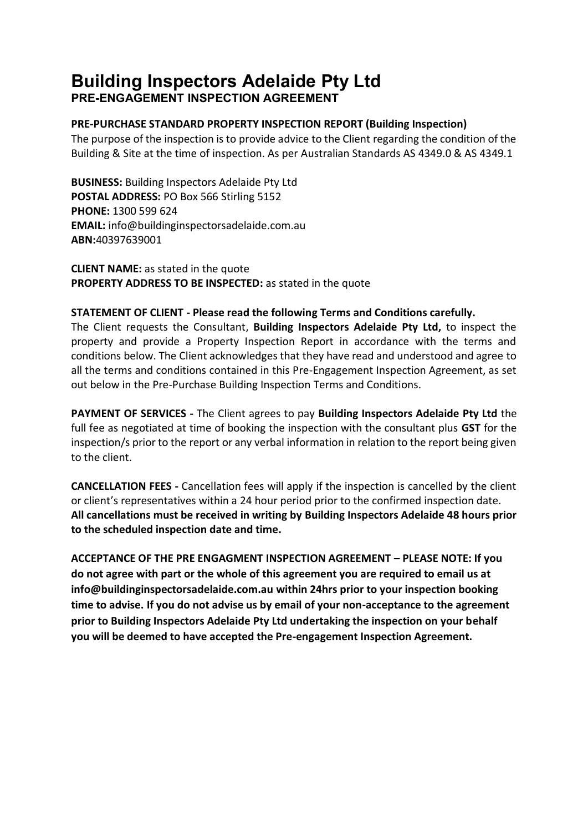# **Building Inspectors Adelaide Pty Ltd**

**PRE-ENGAGEMENT INSPECTION AGREEMENT**

# **PRE-PURCHASE STANDARD PROPERTY INSPECTION REPORT (Building Inspection)**

The purpose of the inspection is to provide advice to the Client regarding the condition of the Building & Site at the time of inspection. As per Australian Standards AS 4349.0 & AS 4349.1

**BUSINESS:** Building Inspectors Adelaide Pty Ltd **POSTAL ADDRESS:** PO Box 566 Stirling 5152 **PHONE:** 1300 599 624 **EMAIL:** info@buildinginspectorsadelaide.com.au **ABN:**40397639001

**CLIENT NAME:** as stated in the quote **PROPERTY ADDRESS TO BE INSPECTED:** as stated in the quote

## **STATEMENT OF CLIENT - Please read the following Terms and Conditions carefully.**

The Client requests the Consultant, **Building Inspectors Adelaide Pty Ltd,** to inspect the property and provide a Property Inspection Report in accordance with the terms and conditions below. The Client acknowledges that they have read and understood and agree to all the terms and conditions contained in this Pre-Engagement Inspection Agreement, as set out below in the Pre-Purchase Building Inspection Terms and Conditions.

**PAYMENT OF SERVICES -** The Client agrees to pay **Building Inspectors Adelaide Pty Ltd** the full fee as negotiated at time of booking the inspection with the consultant plus **GST** for the inspection/s prior to the report or any verbal information in relation to the report being given to the client.

**CANCELLATION FEES -** Cancellation fees will apply if the inspection is cancelled by the client or client's representatives within a 24 hour period prior to the confirmed inspection date. **All cancellations must be received in writing by Building Inspectors Adelaide 48 hours prior to the scheduled inspection date and time.** 

**ACCEPTANCE OF THE PRE ENGAGMENT INSPECTION AGREEMENT – PLEASE NOTE: If you do not agree with part or the whole of this agreement you are required to email us at [info@buildinginspectorsadelaide.com.au](mailto:info@buildinginspectorsadelaide.com.au) within 24hrs prior to your inspection booking time to advise. If you do not advise us by email of your non-acceptance to the agreement prior to Building Inspectors Adelaide Pty Ltd undertaking the inspection on your behalf you will be deemed to have accepted the Pre-engagement Inspection Agreement.**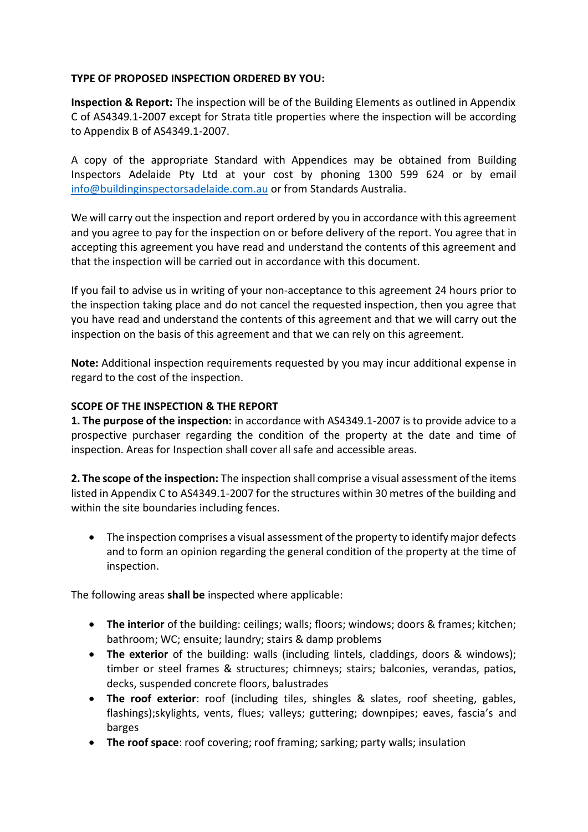## **TYPE OF PROPOSED INSPECTION ORDERED BY YOU:**

**Inspection & Report:** The inspection will be of the Building Elements as outlined in Appendix C of AS4349.1-2007 except for Strata title properties where the inspection will be according to Appendix B of AS4349.1-2007.

A copy of the appropriate Standard with Appendices may be obtained from Building Inspectors Adelaide Pty Ltd at your cost by phoning 1300 599 624 or by email [info@buildinginspectorsadelaide.com.au](mailto:info@buildinginspectorsadelaide.com.au) or from Standards Australia.

We will carry out the inspection and report ordered by you in accordance with this agreement and you agree to pay for the inspection on or before delivery of the report. You agree that in accepting this agreement you have read and understand the contents of this agreement and that the inspection will be carried out in accordance with this document.

If you fail to advise us in writing of your non-acceptance to this agreement 24 hours prior to the inspection taking place and do not cancel the requested inspection, then you agree that you have read and understand the contents of this agreement and that we will carry out the inspection on the basis of this agreement and that we can rely on this agreement.

**Note:** Additional inspection requirements requested by you may incur additional expense in regard to the cost of the inspection.

# **SCOPE OF THE INSPECTION & THE REPORT**

**1. The purpose of the inspection:** in accordance with AS4349.1-2007 is to provide advice to a prospective purchaser regarding the condition of the property at the date and time of inspection. Areas for Inspection shall cover all safe and accessible areas.

**2. The scope of the inspection:** The inspection shall comprise a visual assessment of the items listed in Appendix C to AS4349.1-2007 for the structures within 30 metres of the building and within the site boundaries including fences.

 The inspection comprises a visual assessment of the property to identify major defects and to form an opinion regarding the general condition of the property at the time of inspection.

The following areas **shall be** inspected where applicable:

- **The interior** of the building: ceilings; walls; floors; windows; doors & frames; kitchen; bathroom; WC; ensuite; laundry; stairs & damp problems
- **The exterior** of the building: walls (including lintels, claddings, doors & windows); timber or steel frames & structures; chimneys; stairs; balconies, verandas, patios, decks, suspended concrete floors, balustrades
- **The roof exterior**: roof (including tiles, shingles & slates, roof sheeting, gables, flashings);skylights, vents, flues; valleys; guttering; downpipes; eaves, fascia's and barges
- **The roof space**: roof covering; roof framing; sarking; party walls; insulation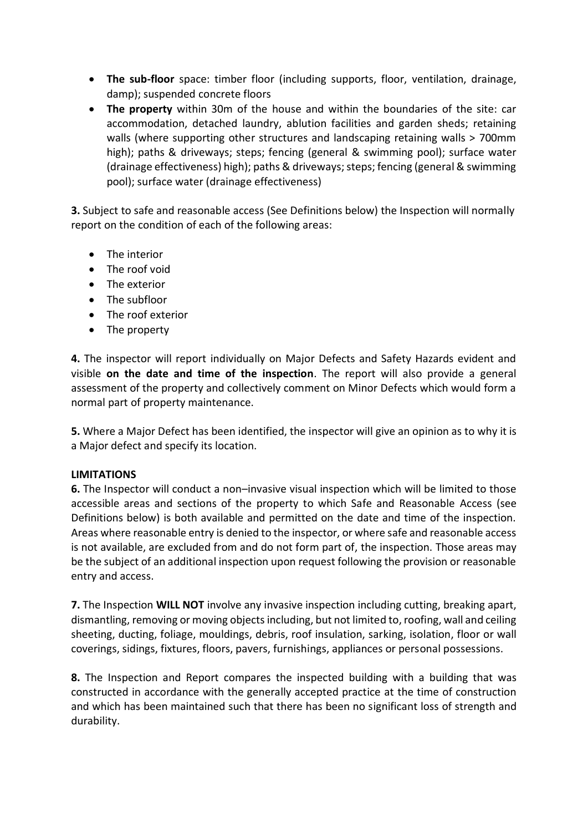- **The sub-floor** space: timber floor (including supports, floor, ventilation, drainage, damp); suspended concrete floors
- **The property** within 30m of the house and within the boundaries of the site: car accommodation, detached laundry, ablution facilities and garden sheds; retaining walls (where supporting other structures and landscaping retaining walls > 700mm high); paths & driveways; steps; fencing (general & swimming pool); surface water (drainage effectiveness) high); paths & driveways; steps; fencing (general & swimming pool); surface water (drainage effectiveness)

**3.** Subject to safe and reasonable access (See Definitions below) the Inspection will normally report on the condition of each of the following areas:

- The interior
- The roof void
- The exterior
- The subfloor
- The roof exterior
- The property

**4.** The inspector will report individually on Major Defects and Safety Hazards evident and visible **on the date and time of the inspection**. The report will also provide a general assessment of the property and collectively comment on Minor Defects which would form a normal part of property maintenance.

**5.** Where a Major Defect has been identified, the inspector will give an opinion as to why it is a Major defect and specify its location.

#### **LIMITATIONS**

**6.** The Inspector will conduct a non–invasive visual inspection which will be limited to those accessible areas and sections of the property to which Safe and Reasonable Access (see Definitions below) is both available and permitted on the date and time of the inspection. Areas where reasonable entry is denied to the inspector, or where safe and reasonable access is not available, are excluded from and do not form part of, the inspection. Those areas may be the subject of an additional inspection upon request following the provision or reasonable entry and access.

**7.** The Inspection **WILL NOT** involve any invasive inspection including cutting, breaking apart, dismantling, removing or moving objects including, but not limited to, roofing, wall and ceiling sheeting, ducting, foliage, mouldings, debris, roof insulation, sarking, isolation, floor or wall coverings, sidings, fixtures, floors, pavers, furnishings, appliances or personal possessions.

**8.** The Inspection and Report compares the inspected building with a building that was constructed in accordance with the generally accepted practice at the time of construction and which has been maintained such that there has been no significant loss of strength and durability.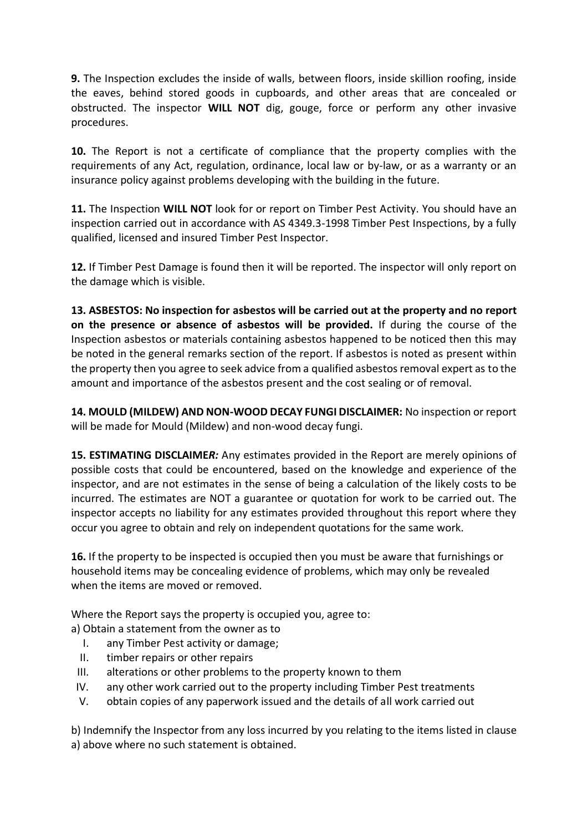**9.** The Inspection excludes the inside of walls, between floors, inside skillion roofing, inside the eaves, behind stored goods in cupboards, and other areas that are concealed or obstructed. The inspector **WILL NOT** dig, gouge, force or perform any other invasive procedures.

**10.** The Report is not a certificate of compliance that the property complies with the requirements of any Act, regulation, ordinance, local law or by-law, or as a warranty or an insurance policy against problems developing with the building in the future.

**11.** The Inspection **WILL NOT** look for or report on Timber Pest Activity. You should have an inspection carried out in accordance with AS 4349.3-1998 Timber Pest Inspections, by a fully qualified, licensed and insured Timber Pest Inspector.

**12.** If Timber Pest Damage is found then it will be reported. The inspector will only report on the damage which is visible.

**13. ASBESTOS: No inspection for asbestos will be carried out at the property and no report on the presence or absence of asbestos will be provided.** If during the course of the Inspection asbestos or materials containing asbestos happened to be noticed then this may be noted in the general remarks section of the report. If asbestos is noted as present within the property then you agree to seek advice from a qualified asbestos removal expert as to the amount and importance of the asbestos present and the cost sealing or of removal.

**14. MOULD (MILDEW) AND NON-WOOD DECAY FUNGI DISCLAIMER:** No inspection or report will be made for Mould (Mildew) and non-wood decay fungi.

**15. ESTIMATING DISCLAIME***R:* Any estimates provided in the Report are merely opinions of possible costs that could be encountered, based on the knowledge and experience of the inspector, and are not estimates in the sense of being a calculation of the likely costs to be incurred. The estimates are NOT a guarantee or quotation for work to be carried out. The inspector accepts no liability for any estimates provided throughout this report where they occur you agree to obtain and rely on independent quotations for the same work.

**16.** If the property to be inspected is occupied then you must be aware that furnishings or household items may be concealing evidence of problems, which may only be revealed when the items are moved or removed.

Where the Report says the property is occupied you, agree to:

a) Obtain a statement from the owner as to

- I. any Timber Pest activity or damage;
- II. timber repairs or other repairs
- III. alterations or other problems to the property known to them
- IV. any other work carried out to the property including Timber Pest treatments
- V. obtain copies of any paperwork issued and the details of all work carried out

b) Indemnify the Inspector from any loss incurred by you relating to the items listed in clause a) above where no such statement is obtained.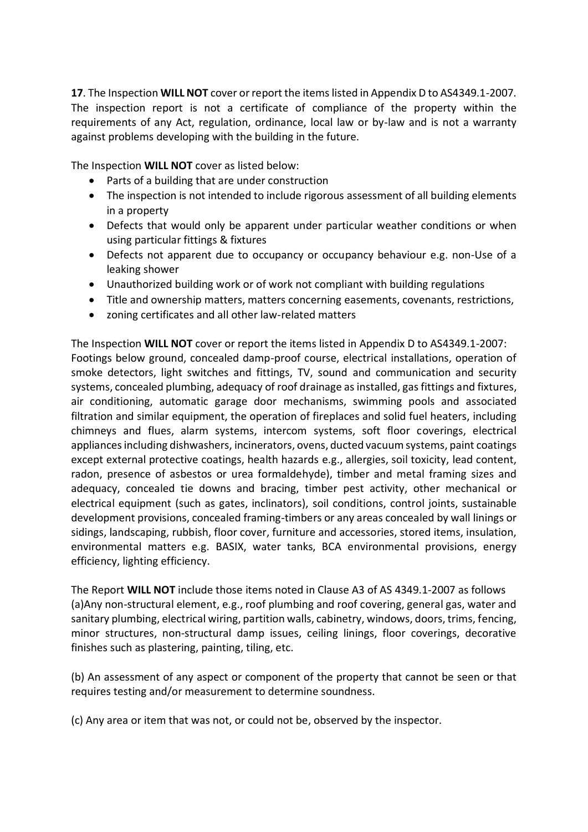**17**. The Inspection **WILL NOT** cover or report the items listed in Appendix D to AS4349.1-2007. The inspection report is not a certificate of compliance of the property within the requirements of any Act, regulation, ordinance, local law or by-law and is not a warranty against problems developing with the building in the future.

The Inspection **WILL NOT** cover as listed below:

- Parts of a building that are under construction
- The inspection is not intended to include rigorous assessment of all building elements in a property
- Defects that would only be apparent under particular weather conditions or when using particular fittings & fixtures
- Defects not apparent due to occupancy or occupancy behaviour e.g. non-Use of a leaking shower
- Unauthorized building work or of work not compliant with building regulations
- Title and ownership matters, matters concerning easements, covenants, restrictions,
- zoning certificates and all other law-related matters

The Inspection **WILL NOT** cover or report the items listed in Appendix D to AS4349.1-2007: Footings below ground, concealed damp-proof course, electrical installations, operation of smoke detectors, light switches and fittings, TV, sound and communication and security systems, concealed plumbing, adequacy of roof drainage as installed, gas fittings and fixtures, air conditioning, automatic garage door mechanisms, swimming pools and associated filtration and similar equipment, the operation of fireplaces and solid fuel heaters, including chimneys and flues, alarm systems, intercom systems, soft floor coverings, electrical appliances including dishwashers, incinerators, ovens, ducted vacuum systems, paint coatings except external protective coatings, health hazards e.g., allergies, soil toxicity, lead content, radon, presence of asbestos or urea formaldehyde), timber and metal framing sizes and adequacy, concealed tie downs and bracing, timber pest activity, other mechanical or electrical equipment (such as gates, inclinators), soil conditions, control joints, sustainable development provisions, concealed framing-timbers or any areas concealed by wall linings or sidings, landscaping, rubbish, floor cover, furniture and accessories, stored items, insulation, environmental matters e.g. BASIX, water tanks, BCA environmental provisions, energy efficiency, lighting efficiency.

The Report **WILL NOT** include those items noted in Clause A3 of AS 4349.1-2007 as follows (a)Any non-structural element, e.g., roof plumbing and roof covering, general gas, water and sanitary plumbing, electrical wiring, partition walls, cabinetry, windows, doors, trims, fencing, minor structures, non-structural damp issues, ceiling linings, floor coverings, decorative finishes such as plastering, painting, tiling, etc.

(b) An assessment of any aspect or component of the property that cannot be seen or that requires testing and/or measurement to determine soundness.

(c) Any area or item that was not, or could not be, observed by the inspector.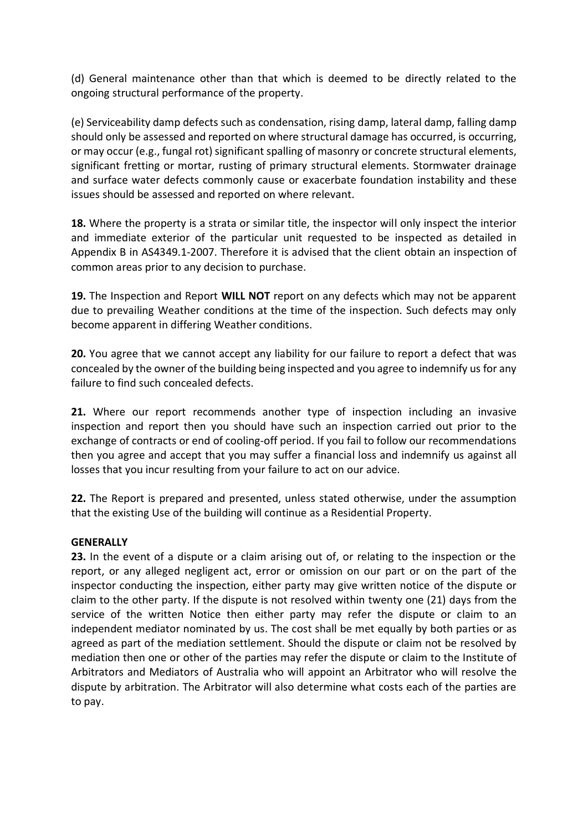(d) General maintenance other than that which is deemed to be directly related to the ongoing structural performance of the property.

(e) Serviceability damp defects such as condensation, rising damp, lateral damp, falling damp should only be assessed and reported on where structural damage has occurred, is occurring, or may occur (e.g., fungal rot) significant spalling of masonry or concrete structural elements, significant fretting or mortar, rusting of primary structural elements. Stormwater drainage and surface water defects commonly cause or exacerbate foundation instability and these issues should be assessed and reported on where relevant.

**18.** Where the property is a strata or similar title, the inspector will only inspect the interior and immediate exterior of the particular unit requested to be inspected as detailed in Appendix B in AS4349.1-2007. Therefore it is advised that the client obtain an inspection of common areas prior to any decision to purchase.

**19.** The Inspection and Report **WILL NOT** report on any defects which may not be apparent due to prevailing Weather conditions at the time of the inspection. Such defects may only become apparent in differing Weather conditions.

**20.** You agree that we cannot accept any liability for our failure to report a defect that was concealed by the owner of the building being inspected and you agree to indemnify us for any failure to find such concealed defects.

**21.** Where our report recommends another type of inspection including an invasive inspection and report then you should have such an inspection carried out prior to the exchange of contracts or end of cooling-off period. If you fail to follow our recommendations then you agree and accept that you may suffer a financial loss and indemnify us against all losses that you incur resulting from your failure to act on our advice.

**22.** The Report is prepared and presented, unless stated otherwise, under the assumption that the existing Use of the building will continue as a Residential Property.

#### **GENERALLY**

**23.** In the event of a dispute or a claim arising out of, or relating to the inspection or the report, or any alleged negligent act, error or omission on our part or on the part of the inspector conducting the inspection, either party may give written notice of the dispute or claim to the other party. If the dispute is not resolved within twenty one (21) days from the service of the written Notice then either party may refer the dispute or claim to an independent mediator nominated by us. The cost shall be met equally by both parties or as agreed as part of the mediation settlement. Should the dispute or claim not be resolved by mediation then one or other of the parties may refer the dispute or claim to the Institute of Arbitrators and Mediators of Australia who will appoint an Arbitrator who will resolve the dispute by arbitration. The Arbitrator will also determine what costs each of the parties are to pay.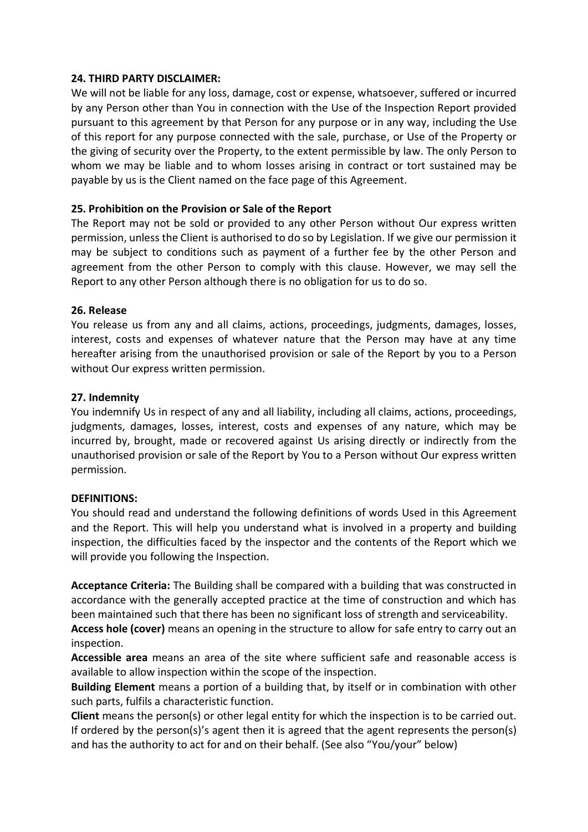## **24. THIRD PARTY DISCLAIMER:**

We will not be liable for any loss, damage, cost or expense, whatsoever, suffered or incurred by any Person other than You in connection with the Use of the Inspection Report provided pursuant to this agreement by that Person for any purpose or in any way, including the Use of this report for any purpose connected with the sale, purchase, or Use of the Property or the giving of security over the Property, to the extent permissible by law. The only Person to whom we may be liable and to whom losses arising in contract or tort sustained may be payable by us is the Client named on the face page of this Agreement.

## **25. Prohibition on the Provision or Sale of the Report**

The Report may not be sold or provided to any other Person without Our express written permission, unless the Client is authorised to do so by Legislation. If we give our permission it may be subject to conditions such as payment of a further fee by the other Person and agreement from the other Person to comply with this clause. However, we may sell the Report to any other Person although there is no obligation for us to do so.

#### **26. Release**

You release us from any and all claims, actions, proceedings, judgments, damages, losses, interest, costs and expenses of whatever nature that the Person may have at any time hereafter arising from the unauthorised provision or sale of the Report by you to a Person without Our express written permission.

## **27. Indemnity**

You indemnify Us in respect of any and all liability, including all claims, actions, proceedings, judgments, damages, losses, interest, costs and expenses of any nature, which may be incurred by, brought, made or recovered against Us arising directly or indirectly from the unauthorised provision or sale of the Report by You to a Person without Our express written permission.

#### **DEFINITIONS:**

You should read and understand the following definitions of words Used in this Agreement and the Report. This will help you understand what is involved in a property and building inspection, the difficulties faced by the inspector and the contents of the Report which we will provide you following the Inspection.

**Acceptance Criteria:** The Building shall be compared with a building that was constructed in accordance with the generally accepted practice at the time of construction and which has been maintained such that there has been no significant loss of strength and serviceability.

**Access hole (cover)** means an opening in the structure to allow for safe entry to carry out an inspection.

**Accessible area** means an area of the site where sufficient safe and reasonable access is available to allow inspection within the scope of the inspection.

**Building Element** means a portion of a building that, by itself or in combination with other such parts, fulfils a characteristic function.

**Client** means the person(s) or other legal entity for which the inspection is to be carried out. If ordered by the person(s)'s agent then it is agreed that the agent represents the person(s) and has the authority to act for and on their behalf. (See also "You/your" below)